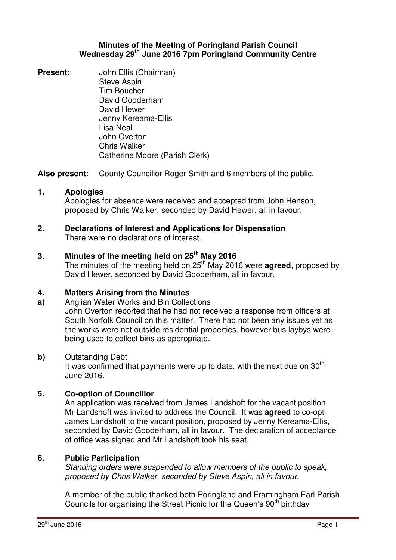## **Minutes of the Meeting of Poringland Parish Council Wednesday 29th June 2016 7pm Poringland Community Centre**

**Present:** John Ellis (Chairman) Steve Aspin Tim Boucher David Gooderham David Hewer Jenny Kereama-Ellis Lisa Neal John Overton Chris Walker Catherine Moore (Parish Clerk)

**Also present:** County Councillor Roger Smith and 6 members of the public.

## **1. Apologies**

Apologies for absence were received and accepted from John Henson, proposed by Chris Walker, seconded by David Hewer, all in favour.

#### **2. Declarations of Interest and Applications for Dispensation** There were no declarations of interest.

## **3. Minutes of the meeting held on 25 th May 2016**

The minutes of the meeting held on 25<sup>th</sup> May 2016 were **agreed**, proposed by David Hewer, seconded by David Gooderham, all in favour.

#### **4. Matters Arising from the Minutes**

## **a)** Anglian Water Works and Bin Collections

John Overton reported that he had not received a response from officers at South Norfolk Council on this matter. There had not been any issues yet as the works were not outside residential properties, however bus laybys were being used to collect bins as appropriate.

#### **b)** Outstanding Debt

It was confirmed that payments were up to date, with the next due on  $30<sup>th</sup>$ June 2016.

## **5. Co-option of Councillor**

An application was received from James Landshoft for the vacant position. Mr Landshoft was invited to address the Council. It was **agreed** to co-opt James Landshoft to the vacant position, proposed by Jenny Kereama-Ellis, seconded by David Gooderham, all in favour. The declaration of acceptance of office was signed and Mr Landshoft took his seat.

## **6. Public Participation**

Standing orders were suspended to allow members of the public to speak, proposed by Chris Walker, seconded by Steve Aspin, all in favour.

A member of the public thanked both Poringland and Framingham Earl Parish Councils for organising the Street Picnic for the Queen's 90<sup>th</sup> birthday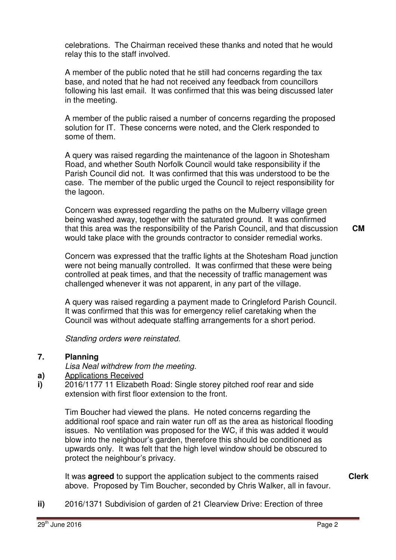celebrations. The Chairman received these thanks and noted that he would relay this to the staff involved.

A member of the public noted that he still had concerns regarding the tax base, and noted that he had not received any feedback from councillors following his last email. It was confirmed that this was being discussed later in the meeting.

A member of the public raised a number of concerns regarding the proposed solution for IT. These concerns were noted, and the Clerk responded to some of them.

A query was raised regarding the maintenance of the lagoon in Shotesham Road, and whether South Norfolk Council would take responsibility if the Parish Council did not. It was confirmed that this was understood to be the case. The member of the public urged the Council to reject responsibility for the lagoon.

Concern was expressed regarding the paths on the Mulberry village green being washed away, together with the saturated ground. It was confirmed that this area was the responsibility of the Parish Council, and that discussion would take place with the grounds contractor to consider remedial works.

Concern was expressed that the traffic lights at the Shotesham Road junction were not being manually controlled. It was confirmed that these were being controlled at peak times, and that the necessity of traffic management was challenged whenever it was not apparent, in any part of the village.

A query was raised regarding a payment made to Cringleford Parish Council. It was confirmed that this was for emergency relief caretaking when the Council was without adequate staffing arrangements for a short period.

Standing orders were reinstated.

#### **7. Planning**

Lisa Neal withdrew from the meeting.

- **a)**  Applications Received
- **i)**  2016/1177 11 Elizabeth Road: Single storey pitched roof rear and side extension with first floor extension to the front.

Tim Boucher had viewed the plans. He noted concerns regarding the additional roof space and rain water run off as the area as historical flooding issues. No ventilation was proposed for the WC, if this was added it would blow into the neighbour's garden, therefore this should be conditioned as upwards only. It was felt that the high level window should be obscured to protect the neighbour's privacy.

It was **agreed** to support the application subject to the comments raised above. Proposed by Tim Boucher, seconded by Chris Walker, all in favour. **Clerk**

**ii)** 2016/1371 Subdivision of garden of 21 Clearview Drive: Erection of three

**CM**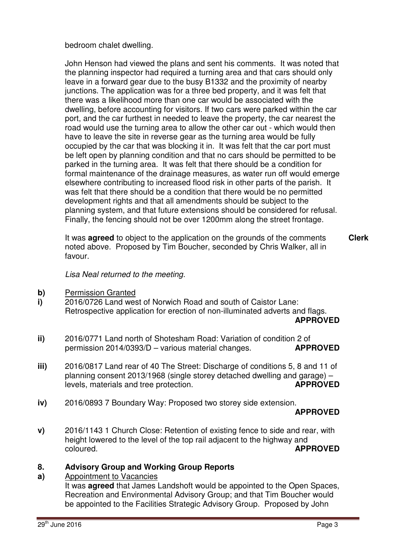bedroom chalet dwelling.

John Henson had viewed the plans and sent his comments. It was noted that the planning inspector had required a turning area and that cars should only leave in a forward gear due to the busy B1332 and the proximity of nearby junctions. The application was for a three bed property, and it was felt that there was a likelihood more than one car would be associated with the dwelling, before accounting for visitors. If two cars were parked within the car port, and the car furthest in needed to leave the property, the car nearest the road would use the turning area to allow the other car out - which would then have to leave the site in reverse gear as the turning area would be fully occupied by the car that was blocking it in. It was felt that the car port must be left open by planning condition and that no cars should be permitted to be parked in the turning area. It was felt that there should be a condition for formal maintenance of the drainage measures, as water run off would emerge elsewhere contributing to increased flood risk in other parts of the parish. It was felt that there should be a condition that there would be no permitted development rights and that all amendments should be subject to the planning system, and that future extensions should be considered for refusal. Finally, the fencing should not be over 1200mm along the street frontage.

It was **agreed** to object to the application on the grounds of the comments noted above. Proposed by Tim Boucher, seconded by Chris Walker, all in favour. **Clerk**

Lisa Neal returned to the meeting.

- **b)** Permission Granted
- **i)**  2016/0726 Land west of Norwich Road and south of Caistor Lane: Retrospective application for erection of non-illuminated adverts and flags. **APPROVED**
- **ii)**  2016/0771 Land north of Shotesham Road: Variation of condition 2 of permission 2014/0393/D – various material changes. **APPROVED**
- **iii)**  2016/0817 Land rear of 40 The Street: Discharge of conditions 5, 8 and 11 of planning consent 2013/1968 (single storey detached dwelling and garage) – levels, materials and tree protection. **APPROVED**
- **iv)**  2016/0893 7 Boundary Way: Proposed two storey side extension.

## **APPROVED**

**v)**  2016/1143 1 Church Close: Retention of existing fence to side and rear, with height lowered to the level of the top rail adjacent to the highway and coloured. **APPROVED**

#### **8. Advisory Group and Working Group Reports**

#### **a)**  Appointment to Vacancies

It was **agreed** that James Landshoft would be appointed to the Open Spaces, Recreation and Environmental Advisory Group; and that Tim Boucher would be appointed to the Facilities Strategic Advisory Group. Proposed by John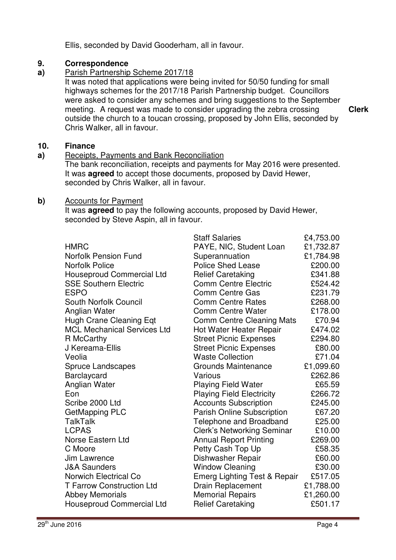Ellis, seconded by David Gooderham, all in favour.

#### **9. Correspondence**

#### **a)**  Parish Partnership Scheme 2017/18

It was noted that applications were being invited for 50/50 funding for small highways schemes for the 2017/18 Parish Partnership budget. Councillors were asked to consider any schemes and bring suggestions to the September meeting. A request was made to consider upgrading the zebra crossing outside the church to a toucan crossing, proposed by John Ellis, seconded by Chris Walker, all in favour.

**10. Finance**

#### **a)**  Receipts, Payments and Bank Reconciliation

The bank reconciliation, receipts and payments for May 2016 were presented. It was **agreed** to accept those documents, proposed by David Hewer, seconded by Chris Walker, all in favour.

## **b)** Accounts for Payment

It was **agreed** to pay the following accounts, proposed by David Hewer, seconded by Steve Aspin, all in favour.

|                                    | <b>Staff Salaries</b>             | £4,753.00 |
|------------------------------------|-----------------------------------|-----------|
| <b>HMRC</b>                        | PAYE, NIC, Student Loan           | £1,732.87 |
| <b>Norfolk Pension Fund</b>        | Superannuation                    | £1,784.98 |
| <b>Norfolk Police</b>              | <b>Police Shed Lease</b>          | £200.00   |
| <b>Houseproud Commercial Ltd</b>   | <b>Relief Caretaking</b>          | £341.88   |
| <b>SSE Southern Electric</b>       | <b>Comm Centre Electric</b>       | £524.42   |
| <b>ESPO</b>                        | <b>Comm Centre Gas</b>            | £231.79   |
| South Norfolk Council              | <b>Comm Centre Rates</b>          | £268.00   |
| Anglian Water                      | <b>Comm Centre Water</b>          | £178.00   |
| Hugh Crane Cleaning Eqt            | <b>Comm Centre Cleaning Mats</b>  | £70.94    |
| <b>MCL Mechanical Services Ltd</b> | Hot Water Heater Repair           | £474.02   |
| R McCarthy                         | <b>Street Picnic Expenses</b>     | £294.80   |
| J Kereama-Ellis                    | <b>Street Picnic Expenses</b>     | £80.00    |
| Veolia                             | <b>Waste Collection</b>           | £71.04    |
| Spruce Landscapes                  | Grounds Maintenance               | £1,099.60 |
| <b>Barclaycard</b>                 | Various                           | £262.86   |
| Anglian Water                      | <b>Playing Field Water</b>        | £65.59    |
| Eon                                | <b>Playing Field Electricity</b>  | £266.72   |
| Scribe 2000 Ltd                    | <b>Accounts Subscription</b>      | £245.00   |
| GetMapping PLC                     | Parish Online Subscription        | £67.20    |
| <b>TalkTalk</b>                    | Telephone and Broadband           | £25.00    |
| <b>LCPAS</b>                       | <b>Clerk's Networking Seminar</b> | £10.00    |
| <b>Norse Eastern Ltd</b>           | <b>Annual Report Printing</b>     | £269.00   |
| C Moore                            | Petty Cash Top Up                 | £58.35    |
| Jim Lawrence                       | Dishwasher Repair                 | £60.00    |
| <b>J&amp;A Saunders</b>            | <b>Window Cleaning</b>            | £30.00    |
| <b>Norwich Electrical Co</b>       | Emerg Lighting Test & Repair      | £517.05   |
| <b>T Farrow Construction Ltd</b>   | <b>Drain Replacement</b>          | £1,788.00 |
| <b>Abbey Memorials</b>             | <b>Memorial Repairs</b>           | £1,260.00 |
| <b>Houseproud Commercial Ltd</b>   | <b>Relief Caretaking</b>          | £501.17   |
|                                    |                                   |           |

**Clerk**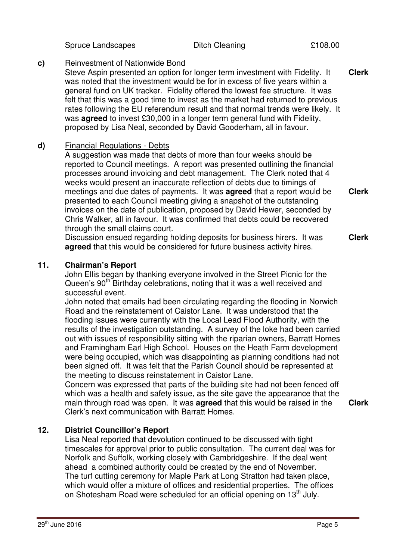Spruce Landscapes **Ditch Cleaning** 2108.00

#### **c)** Reinvestment of Nationwide Bond

Steve Aspin presented an option for longer term investment with Fidelity. It was noted that the investment would be for in excess of five years within a general fund on UK tracker. Fidelity offered the lowest fee structure. It was felt that this was a good time to invest as the market had returned to previous rates following the EU referendum result and that normal trends were likely. It was **agreed** to invest £30,000 in a longer term general fund with Fidelity, proposed by Lisa Neal, seconded by David Gooderham, all in favour. **Clerk**

## **d)** Financial Regulations - Debts

A suggestion was made that debts of more than four weeks should be reported to Council meetings. A report was presented outlining the financial processes around invoicing and debt management. The Clerk noted that 4 weeks would present an inaccurate reflection of debts due to timings of meetings and due dates of payments. It was **agreed** that a report would be presented to each Council meeting giving a snapshot of the outstanding invoices on the date of publication, proposed by David Hewer, seconded by Chris Walker, all in favour. It was confirmed that debts could be recovered through the small claims court.

Discussion ensued regarding holding deposits for business hirers. It was **agreed** that this would be considered for future business activity hires.

## **11. Chairman's Report**

John Ellis began by thanking everyone involved in the Street Picnic for the Queen's 90<sup>th</sup> Birthday celebrations, noting that it was a well received and successful event.

John noted that emails had been circulating regarding the flooding in Norwich Road and the reinstatement of Caistor Lane. It was understood that the flooding issues were currently with the Local Lead Flood Authority, with the results of the investigation outstanding. A survey of the loke had been carried out with issues of responsibility sitting with the riparian owners, Barratt Homes and Framingham Earl High School. Houses on the Heath Farm development were being occupied, which was disappointing as planning conditions had not been signed off. It was felt that the Parish Council should be represented at the meeting to discuss reinstatement in Caistor Lane.

Concern was expressed that parts of the building site had not been fenced off which was a health and safety issue, as the site gave the appearance that the main through road was open. It was **agreed** that this would be raised in the Clerk's next communication with Barratt Homes.

# **12. District Councillor's Report**

Lisa Neal reported that devolution continued to be discussed with tight timescales for approval prior to public consultation. The current deal was for Norfolk and Suffolk, working closely with Cambridgeshire. If the deal went ahead a combined authority could be created by the end of November. The turf cutting ceremony for Maple Park at Long Stratton had taken place, which would offer a mixture of offices and residential properties. The offices on Shotesham Road were scheduled for an official opening on 13<sup>th</sup> July.

**Clerk**

**Clerk**

**Clerk**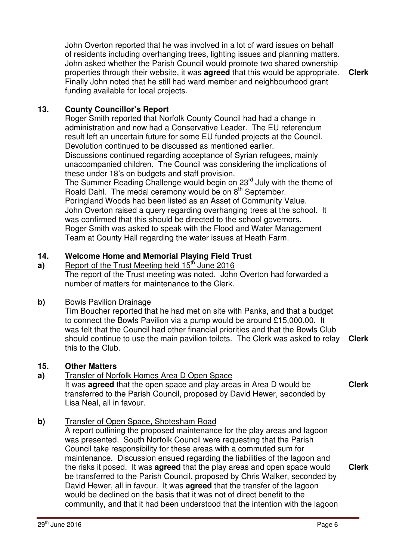John Overton reported that he was involved in a lot of ward issues on behalf of residents including overhanging trees, lighting issues and planning matters. John asked whether the Parish Council would promote two shared ownership properties through their website, it was **agreed** that this would be appropriate. Finally John noted that he still had ward member and neighbourhood grant funding available for local projects.

**Clerk**

## **13. County Councillor's Report**

Roger Smith reported that Norfolk County Council had had a change in administration and now had a Conservative Leader. The EU referendum result left an uncertain future for some EU funded projects at the Council. Devolution continued to be discussed as mentioned earlier.

Discussions continued regarding acceptance of Syrian refugees, mainly unaccompanied children. The Council was considering the implications of these under 18's on budgets and staff provision.

The Summer Reading Challenge would begin on 23<sup>rd</sup> July with the theme of Roald Dahl. The medal ceremony would be on 8<sup>th</sup> September.

Poringland Woods had been listed as an Asset of Community Value. John Overton raised a query regarding overhanging trees at the school. It was confirmed that this should be directed to the school governors. Roger Smith was asked to speak with the Flood and Water Management Team at County Hall regarding the water issues at Heath Farm.

#### **14. Welcome Home and Memorial Playing Field Trust**

**a)**  Report of the Trust Meeting held 15<sup>th</sup> June 2016 The report of the Trust meeting was noted. John Overton had forwarded a number of matters for maintenance to the Clerk.

## **b)** Bowls Pavilion Drainage

Tim Boucher reported that he had met on site with Panks, and that a budget to connect the Bowls Pavilion via a pump would be around £15,000.00. It was felt that the Council had other financial priorities and that the Bowls Club should continue to use the main pavilion toilets. The Clerk was asked to relay this to the Club. **Clerk**

## **15. Other Matters**

## **a)** Transfer of Norfolk Homes Area D Open Space

It was **agreed** that the open space and play areas in Area D would be transferred to the Parish Council, proposed by David Hewer, seconded by Lisa Neal, all in favour.

**Clerk**

## **b)** Transfer of Open Space, Shotesham Road

A report outlining the proposed maintenance for the play areas and lagoon was presented. South Norfolk Council were requesting that the Parish Council take responsibility for these areas with a commuted sum for maintenance. Discussion ensued regarding the liabilities of the lagoon and the risks it posed. It was **agreed** that the play areas and open space would be transferred to the Parish Council, proposed by Chris Walker, seconded by David Hewer, all in favour. It was **agreed** that the transfer of the lagoon would be declined on the basis that it was not of direct benefit to the community, and that it had been understood that the intention with the lagoon **Clerk**